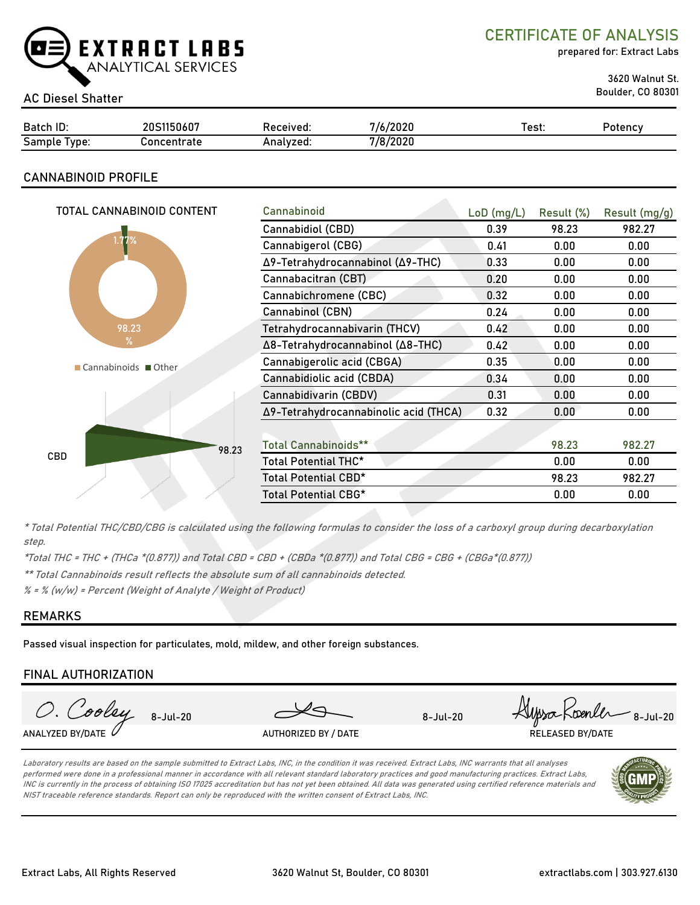

CERTIFICATE OF ANALYSIS

prepared for: Extract Labs

3620 Walnut St.

# Boulder, CO 80301 AC Diesel Shatter

| Batch ID:       | IS1150607<br>20S | Received: | 7/6/2020 | est: | Potency |
|-----------------|------------------|-----------|----------|------|---------|
| Sample<br>Type: | Concentrate      | Analvzed: | 7/8/2020 |      |         |

# CANNABINOID PROFILE

| TOTAL CANNABINOID CONTENT | Cannabinoid                           | $LoD$ (mg/L) | Result (%) | Result (mg/g) |
|---------------------------|---------------------------------------|--------------|------------|---------------|
|                           | Cannabidiol (CBD)                     | 0.39         | 98.23      | 982.27        |
| 1.77%                     | Cannabigerol (CBG)                    | 0.41         | 0.00       | 0.00          |
|                           | Δ9-Tetrahydrocannabinol (Δ9-THC)      | 0.33         | 0.00       | 0.00          |
|                           | Cannabacitran (CBT)                   | 0.20         | 0.00       | 0.00          |
|                           | Cannabichromene (CBC)                 | 0.32         | 0.00       | 0.00          |
|                           | Cannabinol (CBN)                      | 0.24         | 0.00       | 0.00          |
| 98.23                     | Tetrahydrocannabivarin (THCV)         | 0.42         | 0.00       | 0.00          |
| $\frac{9}{6}$             | Δ8-Tetrahydrocannabinol (Δ8-THC)      | 0.42         | 0.00       | 0.00          |
| Cannabinoids Other        | Cannabigerolic acid (CBGA)            | 0.35         | 0.00       | 0.00          |
|                           | Cannabidiolic acid (CBDA)             | 0.34         | 0.00       | 0.00          |
|                           | Cannabidivarin (CBDV)                 | 0.31         | 0.00       | 0.00          |
|                           | Δ9-Tetrahydrocannabinolic acid (THCA) | 0.32         | 0.00       | 0.00          |
|                           |                                       |              |            |               |
| 98.23                     | <b>Total Cannabinoids**</b>           |              | 98.23      | 982.27        |
| CBD                       | Total Potential THC*                  |              | 0.00       | 0.00          |
|                           | Total Potential CBD*                  |              | 98.23      | 982.27        |
|                           | Total Potential CBG*                  |              | 0.00       | 0.00          |
|                           |                                       |              |            |               |

\* Total Potential THC/CBD/CBG is calculated using the following formulas to consider the loss of a carboxyl group during decarboxylation step.

\*Total THC = THC + (THCa \*(0.877)) and Total CBD = CBD + (CBDa \*(0.877)) and Total CBG = CBG + (CBGa\*(0.877))

\*\* Total Cannabinoids result reflects the absolute sum of all cannabinoids detected.

 $% =$  % (w/w) = Percent (Weight of Analyte / Weight of Product)

## REMARKS

Passed visual inspection for particulates, mold, mildew, and other foreign substances.

### FINAL AUTHORIZATION



Laboratory results are based on the sample submitted to Extract Labs, INC, in the condition it was received. Extract Labs, INC warrants that all analyses performed were done in a professional manner in accordance with all relevant standard laboratory practices and good manufacturing practices. Extract Labs, INC is currently in the process of obtaining ISO 17025 accreditation but has not yet been obtained. All data was generated using certified reference materials and NIST traceable reference standards. Report can only be reproduced with the written consent of Extract Labs, INC.

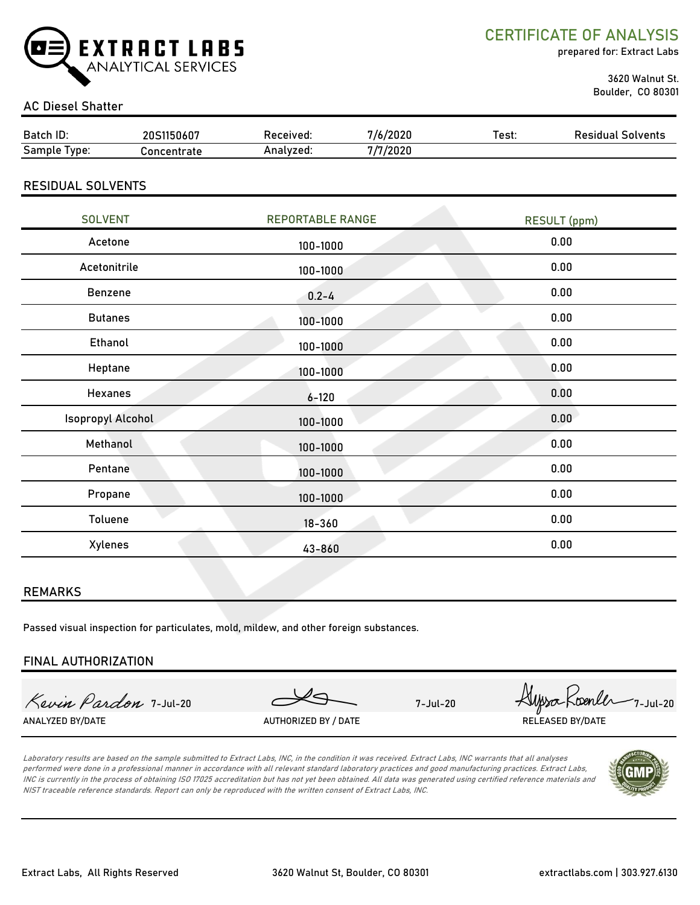

CERTIFICATE OF ANALYSIS

prepared for: Extract Labs

 3620 Walnut St. Boulder, CO 80301

# AC Diesel Shatter

| Batch ID:       | 20S1150607  | Received: | /2020    | Test: | <b>Residual Solvents</b> |
|-----------------|-------------|-----------|----------|-------|--------------------------|
| Sample<br>lvpe: | `oncentrate | Analvzed: | 7/7/2020 |       |                          |
|                 |             |           |          |       |                          |

### RESIDUAL SOLVENTS

| <b>SOLVENT</b>           | <b>REPORTABLE RANGE</b> | <b>RESULT (ppm)</b> |
|--------------------------|-------------------------|---------------------|
| Acetone                  | 100-1000                | 0.00                |
| Acetonitrile             | 100-1000                | 0.00                |
| Benzene                  | $0.2 - 4$               | 0.00                |
| <b>Butanes</b>           | 100-1000                | 0.00                |
| <b>Ethanol</b>           | 100-1000                | 0.00                |
| Heptane                  | 100-1000                | 0.00                |
| Hexanes                  | $6 - 120$               | 0.00                |
| <b>Isopropyl Alcohol</b> | 100-1000                | 0.00                |
| Methanol                 | $100 - 1000$            | 0.00                |
| Pentane                  | 100-1000                | 0.00                |
| Propane                  | 100-1000                | 0.00                |
| Toluene                  | $18 - 360$              | 0.00                |
| Xylenes                  | 43-860                  | 0.00                |

#### REMARKS

Passed visual inspection for particulates, mold, mildew, and other foreign substances.

### FINAL AUTHORIZATION

ANALYZED BY/DATE AUTHORIZED BY / DATE AUTHORIZED BY / DATE RELEASED BY/DATE

Kevin Pardon 7-Jul-20 Servin Pardon 7-Jul-20

Laboratory results are based on the sample submitted to Extract Labs, INC, in the condition it was received. Extract Labs, INC warrants that all analyses performed were done in a professional manner in accordance with all relevant standard laboratory practices and good manufacturing practices. Extract Labs, INC is currently in the process of obtaining ISO 17025 accreditation but has not yet been obtained. All data was generated using certified reference materials and NIST traceable reference standards. Report can only be reproduced with the written consent of Extract Labs, INC.